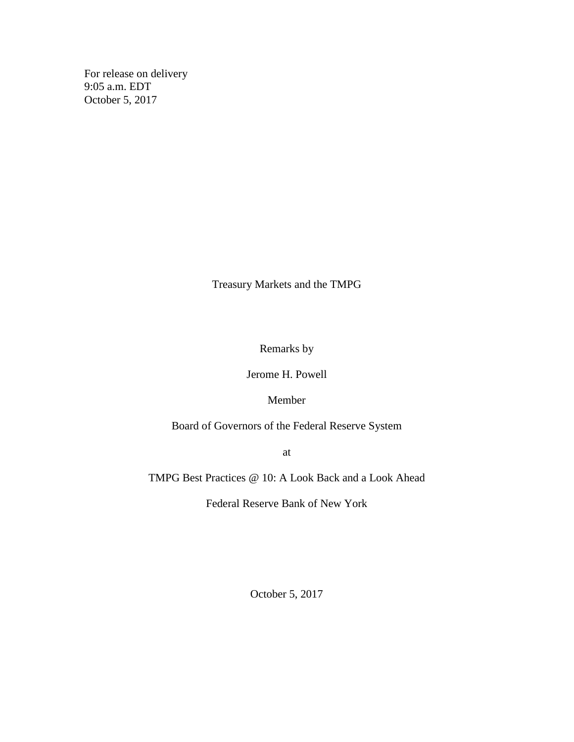For release on delivery 9:05 a.m. EDT October 5, 2017

Treasury Markets and the TMPG

Remarks by

Jerome H. Powell

## Member

Board of Governors of the Federal Reserve System

at

TMPG Best Practices @ 10: A Look Back and a Look Ahead

Federal Reserve Bank of New York

October 5, 2017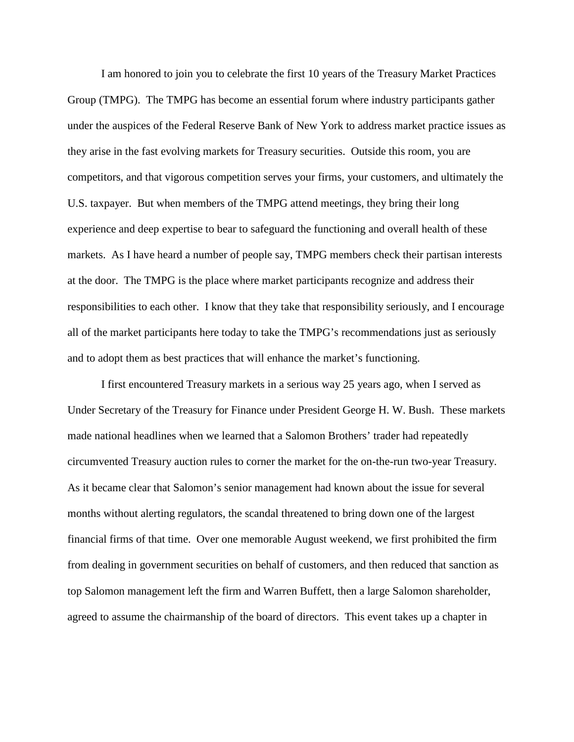I am honored to join you to celebrate the first 10 years of the Treasury Market Practices Group (TMPG). The TMPG has become an essential forum where industry participants gather under the auspices of the Federal Reserve Bank of New York to address market practice issues as they arise in the fast evolving markets for Treasury securities. Outside this room, you are competitors, and that vigorous competition serves your firms, your customers, and ultimately the U.S. taxpayer. But when members of the TMPG attend meetings, they bring their long experience and deep expertise to bear to safeguard the functioning and overall health of these markets. As I have heard a number of people say, TMPG members check their partisan interests at the door. The TMPG is the place where market participants recognize and address their responsibilities to each other. I know that they take that responsibility seriously, and I encourage all of the market participants here today to take the TMPG's recommendations just as seriously and to adopt them as best practices that will enhance the market's functioning.

I first encountered Treasury markets in a serious way 25 years ago, when I served as Under Secretary of the Treasury for Finance under President George H. W. Bush. These markets made national headlines when we learned that a Salomon Brothers' trader had repeatedly circumvented Treasury auction rules to corner the market for the on-the-run two-year Treasury. As it became clear that Salomon's senior management had known about the issue for several months without alerting regulators, the scandal threatened to bring down one of the largest financial firms of that time. Over one memorable August weekend, we first prohibited the firm from dealing in government securities on behalf of customers, and then reduced that sanction as top Salomon management left the firm and Warren Buffett, then a large Salomon shareholder, agreed to assume the chairmanship of the board of directors. This event takes up a chapter in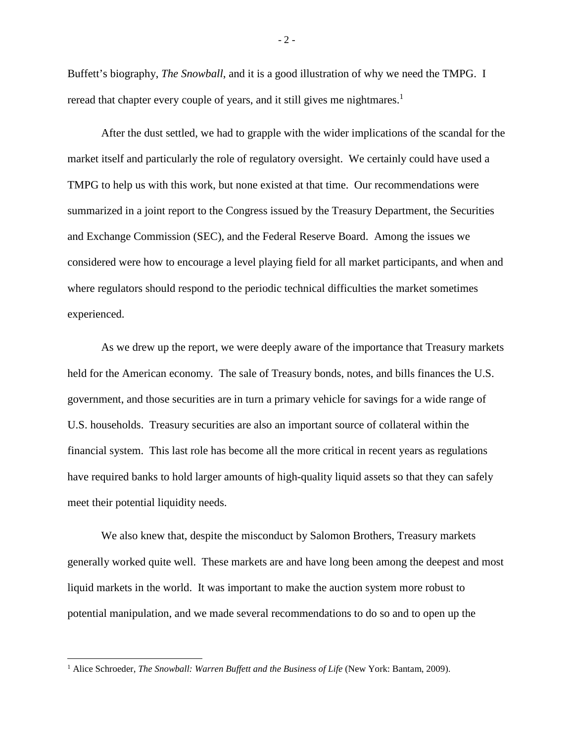Buffett's biography, *The Snowball*, and it is a good illustration of why we need the TMPG. I reread that chapter every couple of years, and it still gives me nightmares.<sup>1</sup>

After the dust settled, we had to grapple with the wider implications of the scandal for the market itself and particularly the role of regulatory oversight. We certainly could have used a TMPG to help us with this work, but none existed at that time. Our recommendations were summarized in a joint report to the Congress issued by the Treasury Department, the Securities and Exchange Commission (SEC), and the Federal Reserve Board. Among the issues we considered were how to encourage a level playing field for all market participants, and when and where regulators should respond to the periodic technical difficulties the market sometimes experienced.

As we drew up the report, we were deeply aware of the importance that Treasury markets held for the American economy. The sale of Treasury bonds, notes, and bills finances the U.S. government, and those securities are in turn a primary vehicle for savings for a wide range of U.S. households. Treasury securities are also an important source of collateral within the financial system. This last role has become all the more critical in recent years as regulations have required banks to hold larger amounts of high-quality liquid assets so that they can safely meet their potential liquidity needs.

We also knew that, despite the misconduct by Salomon Brothers, Treasury markets generally worked quite well. These markets are and have long been among the deepest and most liquid markets in the world. It was important to make the auction system more robust to potential manipulation, and we made several recommendations to do so and to open up the

l

<sup>&</sup>lt;sup>1</sup> Alice Schroeder, *The Snowball: Warren Buffett and the Business of Life* (New York: Bantam, 2009).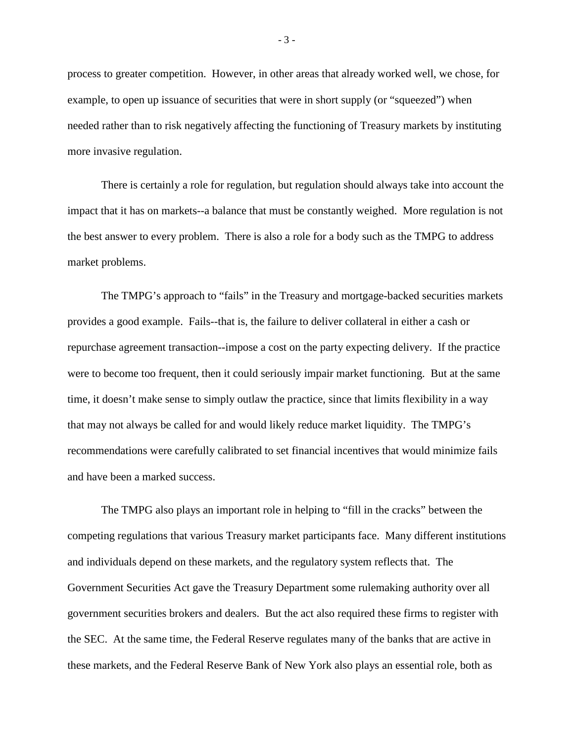process to greater competition. However, in other areas that already worked well, we chose, for example, to open up issuance of securities that were in short supply (or "squeezed") when needed rather than to risk negatively affecting the functioning of Treasury markets by instituting more invasive regulation.

There is certainly a role for regulation, but regulation should always take into account the impact that it has on markets--a balance that must be constantly weighed. More regulation is not the best answer to every problem. There is also a role for a body such as the TMPG to address market problems.

The TMPG's approach to "fails" in the Treasury and mortgage-backed securities markets provides a good example. Fails--that is, the failure to deliver collateral in either a cash or repurchase agreement transaction--impose a cost on the party expecting delivery. If the practice were to become too frequent, then it could seriously impair market functioning. But at the same time, it doesn't make sense to simply outlaw the practice, since that limits flexibility in a way that may not always be called for and would likely reduce market liquidity. The TMPG's recommendations were carefully calibrated to set financial incentives that would minimize fails and have been a marked success.

The TMPG also plays an important role in helping to "fill in the cracks" between the competing regulations that various Treasury market participants face. Many different institutions and individuals depend on these markets, and the regulatory system reflects that. The Government Securities Act gave the Treasury Department some rulemaking authority over all government securities brokers and dealers. But the act also required these firms to register with the SEC. At the same time, the Federal Reserve regulates many of the banks that are active in these markets, and the Federal Reserve Bank of New York also plays an essential role, both as

- 3 -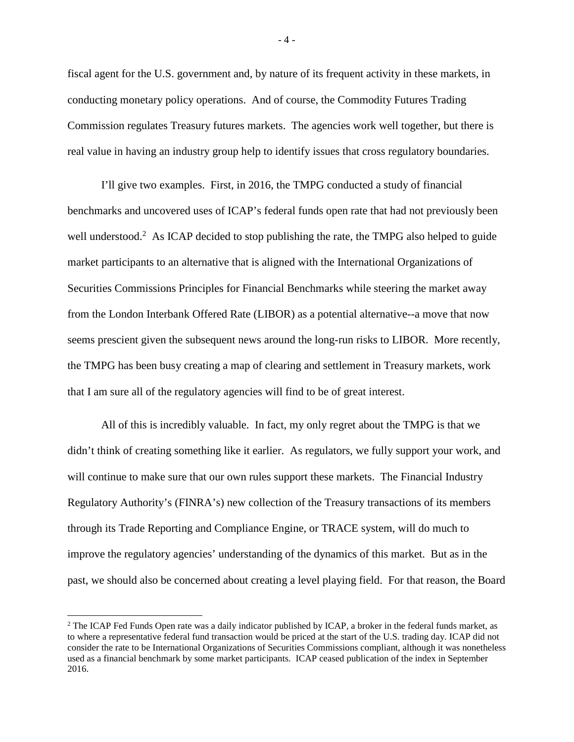fiscal agent for the U.S. government and, by nature of its frequent activity in these markets, in conducting monetary policy operations. And of course, the Commodity Futures Trading Commission regulates Treasury futures markets. The agencies work well together, but there is real value in having an industry group help to identify issues that cross regulatory boundaries.

I'll give two examples. First, in 2016, the TMPG conducted a study of financial benchmarks and uncovered uses of ICAP's federal funds open rate that had not previously been well understood.<sup>2</sup> As ICAP decided to stop publishing the rate, the TMPG also helped to guide market participants to an alternative that is aligned with the International Organizations of Securities Commissions Principles for Financial Benchmarks while steering the market away from the London Interbank Offered Rate (LIBOR) as a potential alternative--a move that now seems prescient given the subsequent news around the long-run risks to LIBOR. More recently, the TMPG has been busy creating a map of clearing and settlement in Treasury markets, work that I am sure all of the regulatory agencies will find to be of great interest.

All of this is incredibly valuable. In fact, my only regret about the TMPG is that we didn't think of creating something like it earlier. As regulators, we fully support your work, and will continue to make sure that our own rules support these markets. The Financial Industry Regulatory Authority's (FINRA's) new collection of the Treasury transactions of its members through its Trade Reporting and Compliance Engine, or TRACE system, will do much to improve the regulatory agencies' understanding of the dynamics of this market. But as in the past, we should also be concerned about creating a level playing field. For that reason, the Board

 $\overline{\phantom{a}}$ 

 $-4-$ 

<sup>&</sup>lt;sup>2</sup> The ICAP Fed Funds Open rate was a daily indicator published by ICAP, a broker in the federal funds market, as to where a representative federal fund transaction would be priced at the start of the U.S. trading day. ICAP did not consider the rate to be International Organizations of Securities Commissions compliant, although it was nonetheless used as a financial benchmark by some market participants. ICAP ceased publication of the index in September 2016.